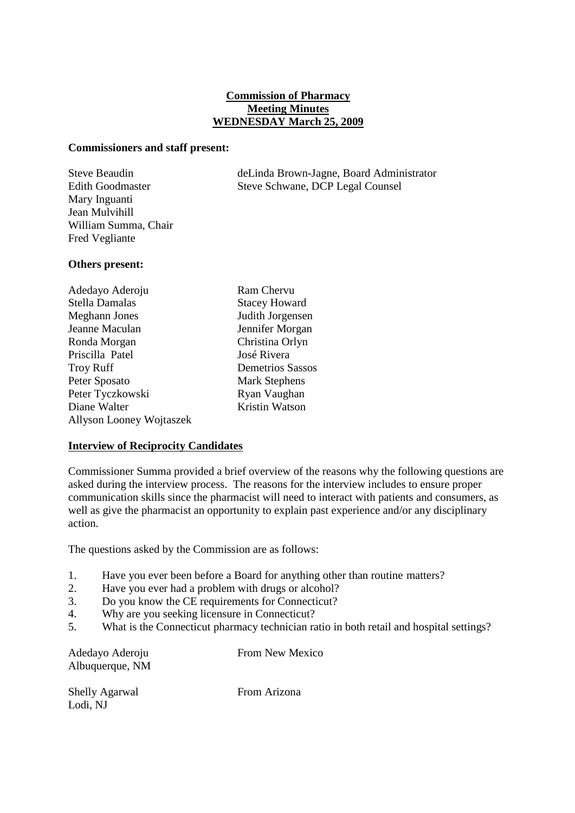# **Commission of Pharmacy Meeting Minutes WEDNESDAY March 25, 2009**

#### **Commissioners and staff present:**

Mary Inguanti Jean Mulvihill William Summa, Chair Fred Vegliante

Steve Beaudin deLinda Brown-Jagne, Board Administrator Edith Goodmaster Steve Schwane, DCP Legal Counsel

# **Others present:**

| Adedayo Aderoju                 | Ram Chervu              |
|---------------------------------|-------------------------|
| Stella Damalas                  | <b>Stacey Howard</b>    |
| Meghann Jones                   | Judith Jorgensen        |
| Jeanne Maculan                  | Jennifer Morgan         |
| Ronda Morgan                    | Christina Orlyn         |
| Priscilla Patel                 | José Rivera             |
| <b>Troy Ruff</b>                | <b>Demetrios Sassos</b> |
| Peter Sposato                   | <b>Mark Stephens</b>    |
| Peter Tyczkowski                | Ryan Vaughan            |
| Diane Walter                    | Kristin Watson          |
| <b>Allyson Looney Wojtaszek</b> |                         |

# **Interview of Reciprocity Candidates**

Commissioner Summa provided a brief overview of the reasons why the following questions are asked during the interview process. The reasons for the interview includes to ensure proper communication skills since the pharmacist will need to interact with patients and consumers, as well as give the pharmacist an opportunity to explain past experience and/or any disciplinary action.

The questions asked by the Commission are as follows:

- 1. Have you ever been before a Board for anything other than routine matters?
- 2. Have you ever had a problem with drugs or alcohol?
- 3. Do you know the CE requirements for Connecticut?
- 4. Why are you seeking licensure in Connecticut?
- 5. What is the Connecticut pharmacy technician ratio in both retail and hospital settings?

Albuquerque, NM

Adedayo Aderoju From New Mexico

Shelly Agarwal From Arizona Lodi, NJ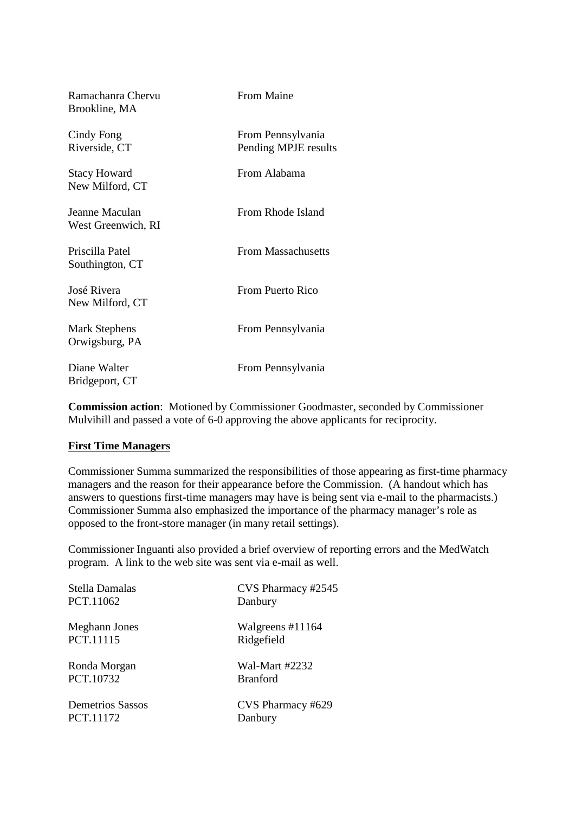| Ramachanra Chervu<br>Brookline, MA     | <b>From Maine</b>                         |
|----------------------------------------|-------------------------------------------|
| Cindy Fong<br>Riverside, CT            | From Pennsylvania<br>Pending MPJE results |
| <b>Stacy Howard</b><br>New Milford, CT | From Alabama                              |
| Jeanne Maculan<br>West Greenwich, RI   | From Rhode Island                         |
| Priscilla Patel<br>Southington, CT     | <b>From Massachusetts</b>                 |
| José Rivera<br>New Milford, CT         | From Puerto Rico                          |
| <b>Mark Stephens</b><br>Orwigsburg, PA | From Pennsylvania                         |
| Diane Walter<br>Bridgeport, CT         | From Pennsylvania                         |

**Commission action**: Motioned by Commissioner Goodmaster, seconded by Commissioner Mulvihill and passed a vote of 6-0 approving the above applicants for reciprocity.

# **First Time Managers**

Commissioner Summa summarized the responsibilities of those appearing as first-time pharmacy managers and the reason for their appearance before the Commission. (A handout which has answers to questions first-time managers may have is being sent via e-mail to the pharmacists.) Commissioner Summa also emphasized the importance of the pharmacy manager's role as opposed to the front-store manager (in many retail settings).

Commissioner Inguanti also provided a brief overview of reporting errors and the MedWatch program. A link to the web site was sent via e-mail as well.

| Stella Damalas          | CVS Pharmacy #2545 |
|-------------------------|--------------------|
| PCT.11062               | Danbury            |
| Meghann Jones           | Walgreens #11164   |
| PCT.11115               | Ridgefield         |
| Ronda Morgan            | Wal-Mart #2232     |
| PCT.10732               | <b>Branford</b>    |
| <b>Demetrios Sassos</b> | CVS Pharmacy #629  |
| PCT.11172               | Danbury            |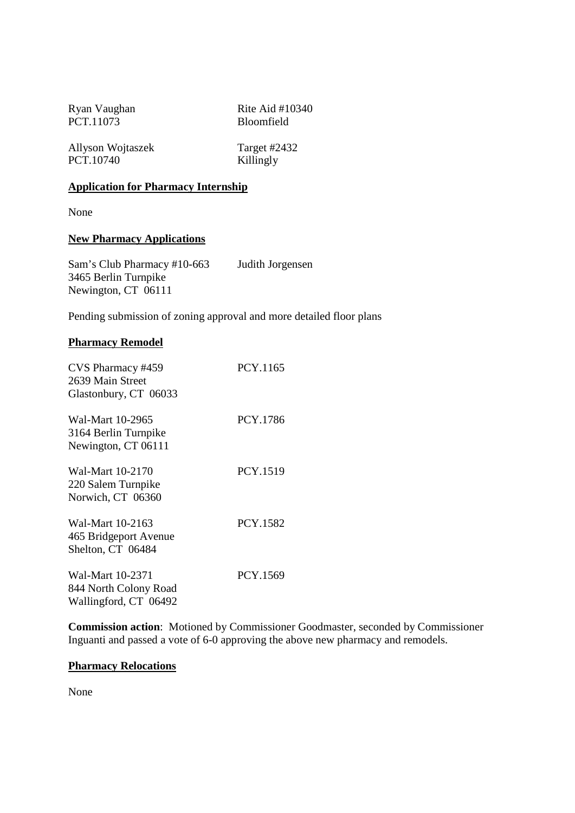PCT.11073 Bloomfield

Ryan Vaughan Rite Aid #10340

Allyson Wojtaszek Target #2432 PCT.10740 Killingly

# **Application for Pharmacy Internship**

None

# **New Pharmacy Applications**

Sam's Club Pharmacy #10-663 Judith Jorgensen 3465 Berlin Turnpike Newington, CT 06111

Pending submission of zoning approval and more detailed floor plans

# **Pharmacy Remodel**

| CVS Pharmacy #459<br>2639 Main Street<br>Glastonbury, CT 06033     | PCY.1165 |
|--------------------------------------------------------------------|----------|
| Wal-Mart 10-2965<br>3164 Berlin Turnpike<br>Newington, CT 06111    | PCY.1786 |
| Wal-Mart 10-2170<br>220 Salem Turnpike<br>Norwich, CT 06360        | PCY.1519 |
| Wal-Mart 10-2163<br>465 Bridgeport Avenue<br>Shelton, CT 06484     | PCY.1582 |
| Wal-Mart 10-2371<br>844 North Colony Road<br>Wallingford, CT 06492 | PCY.1569 |

**Commission action**: Motioned by Commissioner Goodmaster, seconded by Commissioner Inguanti and passed a vote of 6-0 approving the above new pharmacy and remodels.

# **Pharmacy Relocations**

None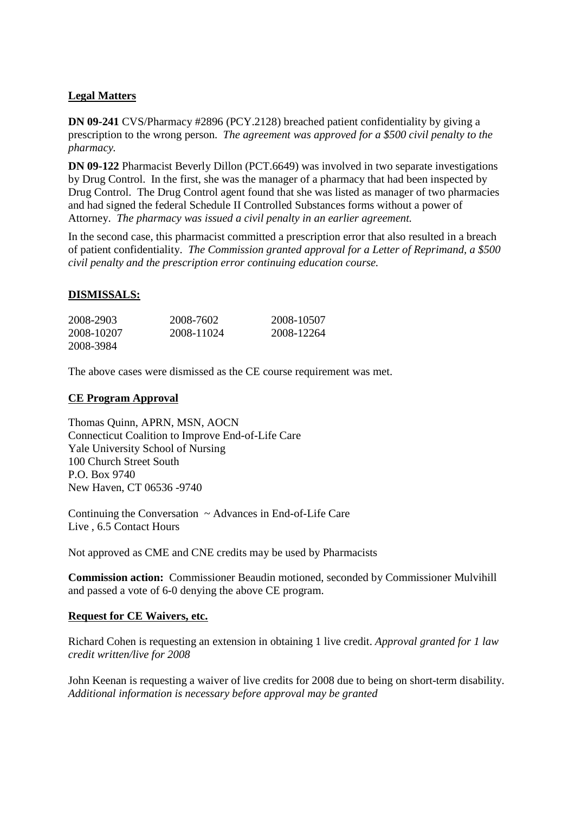# **Legal Matters**

**DN 09-241** CVS/Pharmacy #2896 (PCY.2128) breached patient confidentiality by giving a prescription to the wrong person. *The agreement was approved for a \$500 civil penalty to the pharmacy.*

**DN 09-122** Pharmacist Beverly Dillon (PCT.6649) was involved in two separate investigations by Drug Control. In the first, she was the manager of a pharmacy that had been inspected by Drug Control. The Drug Control agent found that she was listed as manager of two pharmacies and had signed the federal Schedule II Controlled Substances forms without a power of Attorney. *The pharmacy was issued a civil penalty in an earlier agreement.* 

In the second case, this pharmacist committed a prescription error that also resulted in a breach of patient confidentiality. *The Commission granted approval for a Letter of Reprimand, a \$500 civil penalty and the prescription error continuing education course.*

# **DISMISSALS:**

| 2008-2903  | 2008-7602  | 2008-10507 |
|------------|------------|------------|
| 2008-10207 | 2008-11024 | 2008-12264 |
| 2008-3984  |            |            |

The above cases were dismissed as the CE course requirement was met.

#### **CE Program Approval**

Thomas Quinn, APRN, MSN, AOCN Connecticut Coalition to Improve End-of-Life Care Yale University School of Nursing 100 Church Street South P.O. Box 9740 New Haven, CT 06536 -9740

Continuing the Conversation ~ Advances in End-of-Life Care Live , 6.5 Contact Hours

Not approved as CME and CNE credits may be used by Pharmacists

**Commission action:** Commissioner Beaudin motioned, seconded by Commissioner Mulvihill and passed a vote of 6-0 denying the above CE program.

# **Request for CE Waivers, etc.**

Richard Cohen is requesting an extension in obtaining 1 live credit. *Approval granted for 1 law credit written/live for 2008* 

John Keenan is requesting a waiver of live credits for 2008 due to being on short-term disability. *Additional information is necessary before approval may be granted*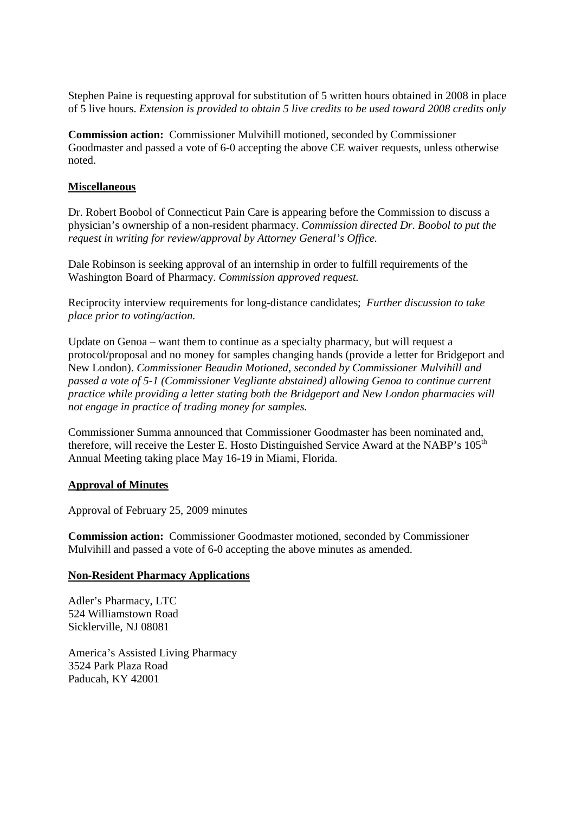Stephen Paine is requesting approval for substitution of 5 written hours obtained in 2008 in place of 5 live hours. *Extension is provided to obtain 5 live credits to be used toward 2008 credits only*

**Commission action:** Commissioner Mulvihill motioned, seconded by Commissioner Goodmaster and passed a vote of 6-0 accepting the above CE waiver requests, unless otherwise noted.

### **Miscellaneous**

Dr. Robert Boobol of Connecticut Pain Care is appearing before the Commission to discuss a physician's ownership of a non-resident pharmacy. *Commission directed Dr. Boobol to put the request in writing for review/approval by Attorney General's Office.*

Dale Robinson is seeking approval of an internship in order to fulfill requirements of the Washington Board of Pharmacy. *Commission approved request.*

Reciprocity interview requirements for long-distance candidates; *Further discussion to take place prior to voting/action.*

Update on Genoa – want them to continue as a specialty pharmacy, but will request a protocol/proposal and no money for samples changing hands (provide a letter for Bridgeport and New London). *Commissioner Beaudin Motioned, seconded by Commissioner Mulvihill and passed a vote of 5-1 (Commissioner Vegliante abstained) allowing Genoa to continue current practice while providing a letter stating both the Bridgeport and New London pharmacies will not engage in practice of trading money for samples.*

Commissioner Summa announced that Commissioner Goodmaster has been nominated and, therefore, will receive the Lester E. Hosto Distinguished Service Award at the NABP's 105<sup>th</sup> Annual Meeting taking place May 16-19 in Miami, Florida.

#### **Approval of Minutes**

Approval of February 25, 2009 minutes

**Commission action:** Commissioner Goodmaster motioned, seconded by Commissioner Mulvihill and passed a vote of 6-0 accepting the above minutes as amended.

#### **Non-Resident Pharmacy Applications**

Adler's Pharmacy, LTC 524 Williamstown Road Sicklerville, NJ 08081

America's Assisted Living Pharmacy 3524 Park Plaza Road Paducah, KY 42001